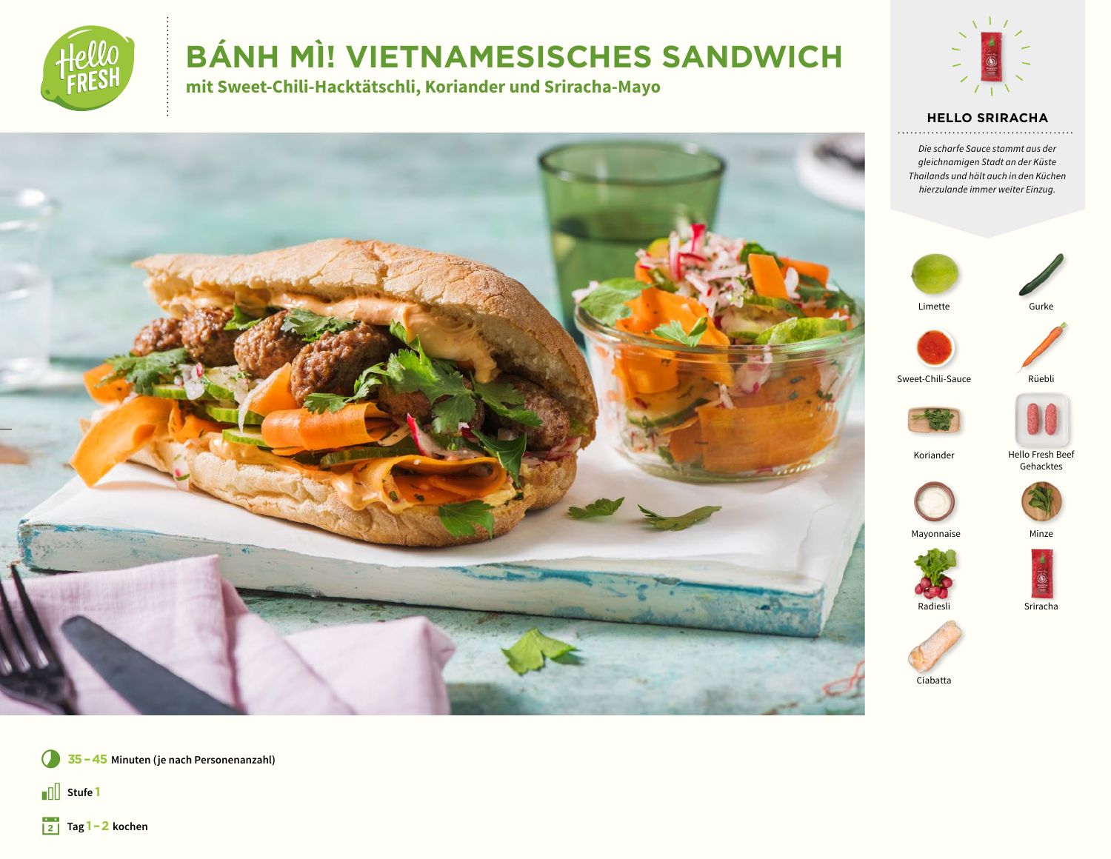

# **BÁNH MÌ! VIETNAMESISCHES SANDWICH**

mit Sweet-Chili-Hacktätschli, Koriander und Sriracha-Mayo



#### **HELLO SRIRACHA**

Die scharfe Sauce stammt aus der gleichnamigen Stadt an der Küste Thailands und hält auch in den Küchen hierzulande immer weiter Einzug.





Limette



Sweet-Chili-Sauce

Rüebli





Koriander

Hello Fresh Beef<br>Gehacktes





Sriracha



Mayonnaise



35 - 45 Minuten (je nach Personenanzahl)

 $\sqrt{\frac{1}{2}}$  Stufe 1

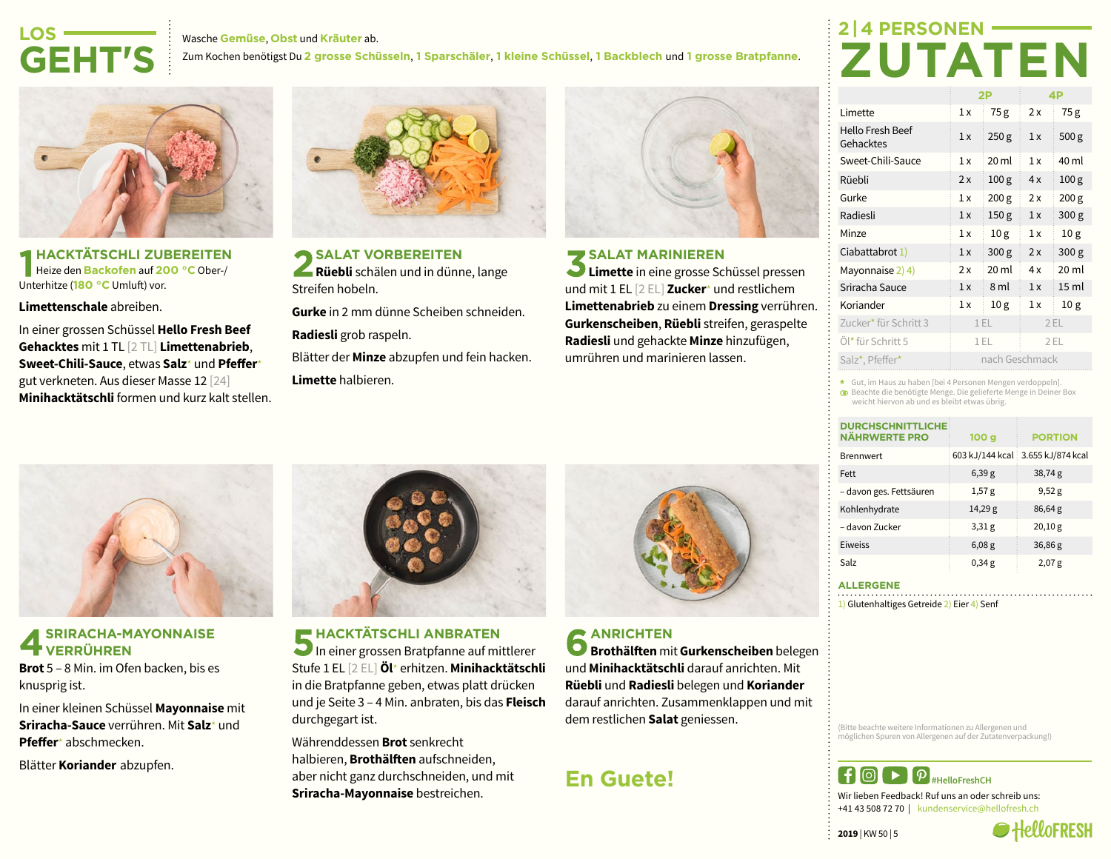#### Wasche **Gemüse**, **Obst** und **Kräuter** ab. Zum Kochen benötigst Du **2 grosse Schüsseln**, **1 Sparschäler**, **1 kleine Schüssel**, **1 Backblech** und **1 grosse Bratpfanne**. **LOS-GEHT'S**

**HACKTÄTSCHLI ZUBEREITEN** Heize den **Backofen** auf **200 °C** Ober-/ Unterhitze (**180 °C** Umluft) vor.

**Limettenschale** abreiben.

In einer grossen Schüssel **Hello Fresh Beef Gehacktes** mit 1 TL [2 TL] **Limettenabrieb**, **Sweet-Chili-Sauce**, etwas **Salz**\* und **Pfeffer**\* gut verkneten. Aus dieser Masse 12 [24] **Minihacktätschli** formen und kurz kalt stellen.



**SALAT VORBEREITEN Rüebli** schälen und in dünne, lange Streifen hobeln.

**Gurke** in 2 mm dünne Scheiben schneiden.

**Radiesli** grob raspeln.

Blätter der **Minze** abzupfen und fein hacken. **Limette** halbieren.



#### **SALAT MARINIEREN**

**Limette** in eine grosse Schüssel pressen und mit 1 EL [2 EL] **Zucker**\* und restlichem **Limettenabrieb** zu einem **Dressing** verrühren. **Gurkenscheiben**, **Rüebli** streifen, geraspelte **Radiesli** und gehackte **Minze** hinzufügen, umrühren und marinieren lassen.

# **2 | 4 PERSONEN-ZUTATEN**

|                               | 2P             |                  | 4P  |                  |
|-------------------------------|----------------|------------------|-----|------------------|
| Limette                       | 1x             | 75g              | 2x  | 75g              |
| Hello Fresh Beef<br>Gehacktes | 1x             | 250 <sub>g</sub> | 1x  | 500 <sub>g</sub> |
| Sweet-Chili-Sauce             | 1x             | 20 ml            | 1x  | 40 ml            |
| Rüebli                        | 2x             | 100 <sub>g</sub> | 4x  | 100 <sub>g</sub> |
| Gurke                         | 1x             | 200 <sub>g</sub> | 2x  | 200 g            |
| Radiesli                      | 1x             | 150 <sub>g</sub> | 1x  | 300 <sub>g</sub> |
| Minze                         | 1x             | 10 <sub>g</sub>  | 1x  | 10 <sub>g</sub>  |
| Ciabattabrot 1)               | 1x             | 300 <sub>g</sub> | 2x  | 300 <sub>g</sub> |
| Mayonnaise 2) 4)              | 2x             | 20 ml            | 4x  | 20 ml            |
| Sriracha Sauce                | 1x             | 8 ml             | 1x  | 15 ml            |
| Koriander                     | 1x             | 10 <sub>g</sub>  | 1x  | 10 <sub>g</sub>  |
| Zucker* für Schritt 3         | 1 EL           |                  | 2EL |                  |
| Öl* für Schritt 5             | 1 EL           |                  | 2EL |                  |
| Salz*, Pfeffer*               | nach Geschmack |                  |     |                  |

Gut, im Haus zu haben [bei 4 Personen Mengen verdoppeln].

Beachte die benötigte Menge. Die gelieferte Menge in Deiner Box weicht hiervon ab und es bleibt etwas übrig.

| <b>DURCHSCHNITTLICHE:</b><br><b>NÄHRWERTE PRO</b> | 100 <sub>g</sub> | <b>PORTION</b>                    |
|---------------------------------------------------|------------------|-----------------------------------|
| <b>Brennwert</b>                                  |                  | 603 kJ/144 kcal 3.655 kJ/874 kcal |
| Fett                                              | 6,39g            | 38,74g                            |
| – davon ges. Fettsäuren                           | 1,57g            | 9,52g                             |
| Kohlenhydrate                                     | 14,29g           | 86,64 g                           |
| – davon Zucker                                    | 3,31g            | 20,10 g                           |
| Eiweiss                                           | 6,08g            | 36,86g                            |
| Salz                                              | 0,34g            | 2,07g                             |

**ALLERGENE**

1) Glutenhaltiges Getreide 2) Eier 4) Senf

(Bitte beachte weitere Informationen zu Allergenen und möglichen Spuren von Allergenen auf der Zutatenverpackung!)



Wir lieben Feedback! Ruf uns an oder schreib uns: +41 43 508 72 70 | kundenservice@hellofresh.ch

**2019** | KW 50 | 5





#### **SRIRACHA-MAYONNAISE VERRÜHREN**

**Brot** 5 – 8 Min. im Ofen backen, bis es knusprig ist.

In einer kleinen Schüssel **Mayonnaise** mit **Sriracha-Sauce** verrühren. Mit **Salz**\* und **Pfeffer**\* abschmecken.

Blätter **Koriander** abzupfen.



**HACKTÄTSCHLI ANBRATEN** In einer grossen Bratpfanne auf mittlerer Stufe 1 EL [2 EL] **Öl**\* erhitzen. **Minihacktätschli** in die Bratpfanne geben, etwas platt drücken und je Seite 3 – 4 Min. anbraten, bis das **Fleisch** durchgegart ist.

Währenddessen **Brot** senkrecht halbieren, **Brothälften** aufschneiden, aber nicht ganz durchschneiden, und mit **Sriracha-Mayonnaise** bestreichen.

**ANRICHTEN Brothälften** mit **Gurkenscheiben** belegen und **Minihacktätschli** darauf anrichten. Mit **Rüebli** und **Radiesli** belegen und **Koriander** darauf anrichten. Zusammenklappen und mit dem restlichen **Salat** geniessen.

## **En Guete!**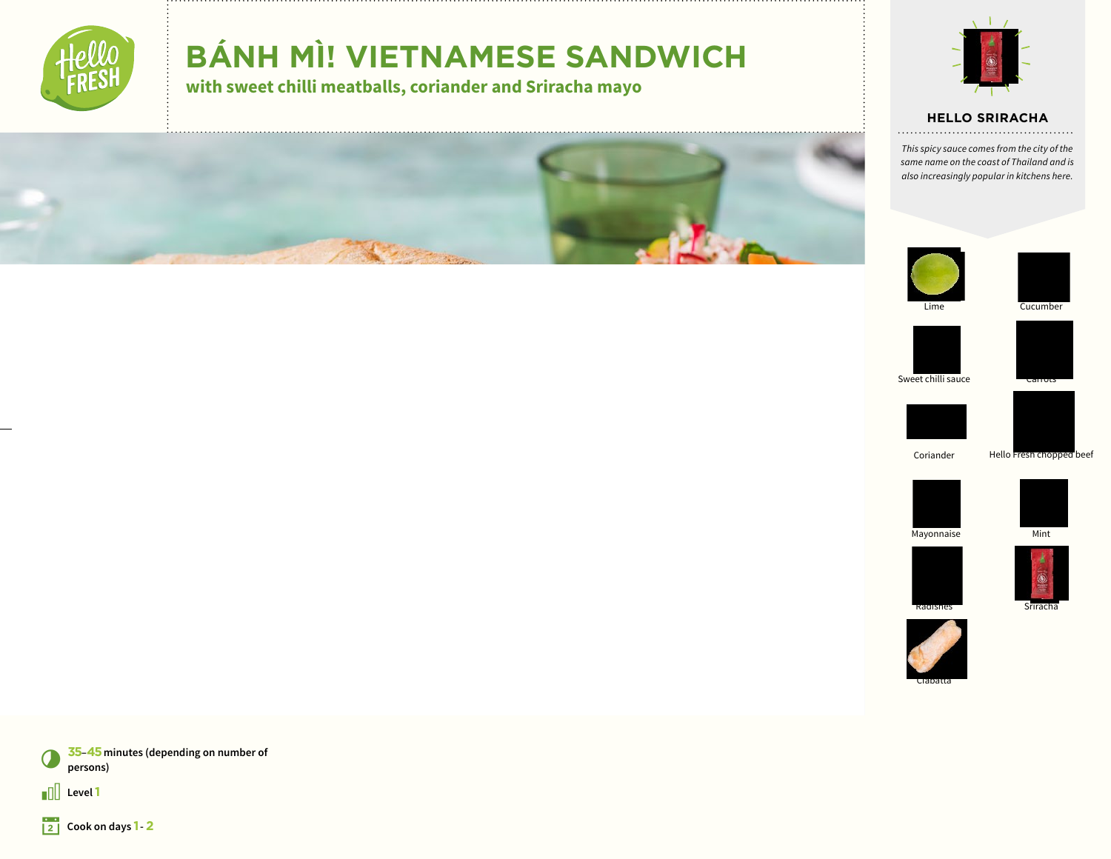

# **BÁNH MÌ! VIETNAMESE SANDWICH**

**with sweet chilli meatballs, coriander and Sriracha mayo**



#### **HELLO SRIRACHA**

*This spicy sauce comes from the city of the same name on the coast of Thailand and is also increasingly popular in kitchens here.*













Sweet chilli sauce





Coriander Hello Fresh chopped beef





Mayonnaise Mint





Srirach









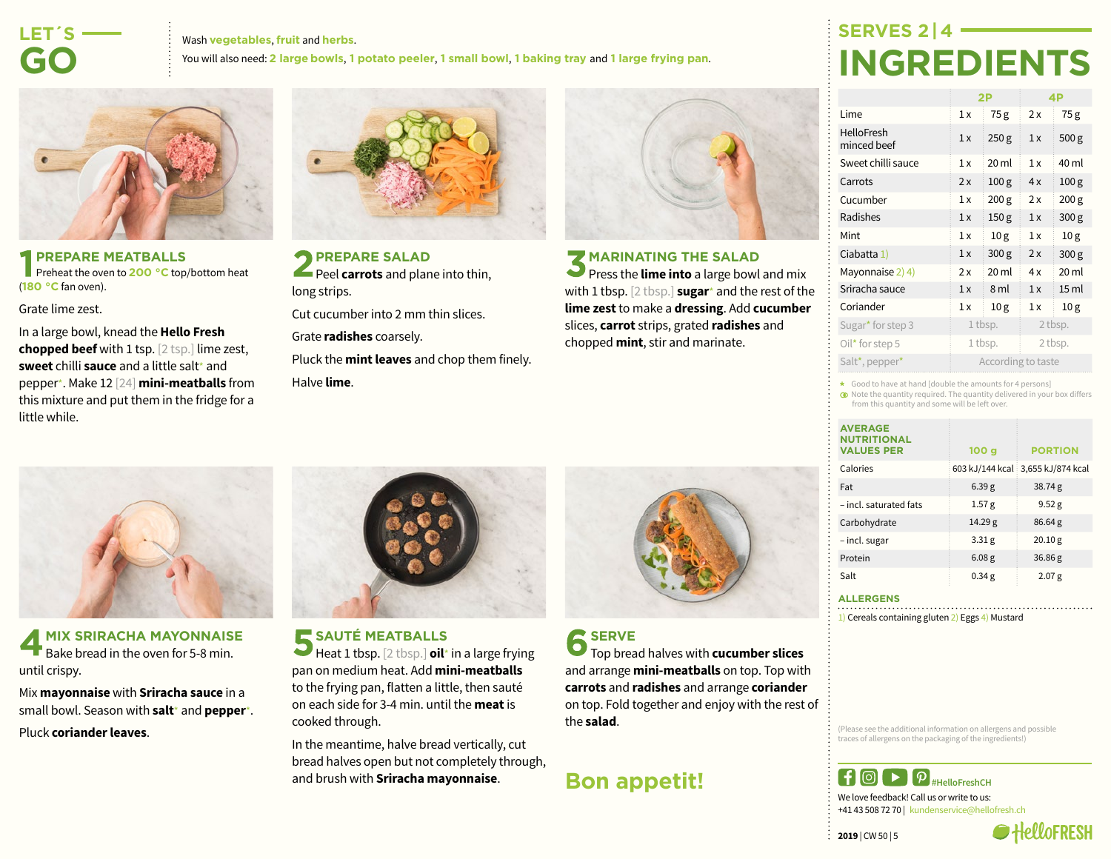## **LET´S-GO**

#### Wash **vegetables**, **fruit** and **herbs**. You will also need: **2 large bowls**, **1 potato peeler**, **1 small bowl**, **1 baking tray** and **1 large frying pan**.



#### **PREPARE MEATBALLS Preheat the oven to 200 °C** top/bottom heat (**180 °C** fan oven).

Grate lime zest.

In a large bowl, knead the **Hello Fresh chopped beef** with 1 tsp. [2 tsp.] lime zest, **sweet** chilli **sauce** and a little salt\* and pepper\*. Make 12 [24] **mini-meatballs** from this mixture and put them in the fridge for a little while.



**PREPARE SALAD Peel carrots** and plane into thin, long strips.

Cut cucumber into 2 mm thin slices.

Grate **radishes** coarsely.

Pluck the **mint leaves** and chop them finely. Halve **lime**.



#### **MARINATING THE SALAD**

**Press the lime into** a large bowl and mix with 1 tbsp. [2 tbsp.] **sugar**\* and the rest of the **lime zest** to make a **dressing**. Add **cucumber** slices, **carrot** strips, grated **radishes** and chopped **mint**, stir and marinate.

# **SERVES 2<sup>1</sup> INGREDIENTS**

|                                  | 2P                 |                  | 4P      |                  |
|----------------------------------|--------------------|------------------|---------|------------------|
| Lime                             | 1x                 | 75g              | 2x      | 75g              |
| <b>HelloFresh</b><br>minced beef | 1x                 | 250 <sub>g</sub> | 1x      | 500 <sub>g</sub> |
| Sweet chilli sauce               | 1x                 | $20 \mathrm{ml}$ | 1x      | 40 ml            |
| Carrots                          | 2x                 | 100 <sub>g</sub> | 4x      | 100 <sub>g</sub> |
| Cucumber                         | 1x                 | 200 <sub>g</sub> | 2x      | 200 <sub>g</sub> |
| Radishes                         | 1x                 | 150 <sub>g</sub> | 1x      | 300 <sub>g</sub> |
| Mint                             | 1x                 | 10 <sub>g</sub>  | 1x      | 10 <sub>g</sub>  |
| Ciabatta 1)                      | 1x                 | 300 <sub>g</sub> | 2x      | 300 g            |
| Mayonnaise 2) 4)                 | 2x                 | $20$ ml          | 4x      | 20 <sub>ml</sub> |
| Sriracha sauce                   | 1x                 | 8 ml             | 1x      | 15 <sub>ml</sub> |
| Coriander                        | 1x                 | 10 <sub>g</sub>  | 1x      | 10 <sub>g</sub>  |
| Sugar <sup>*</sup> for step 3    | 1 tbsp.            |                  | 2 tbsp. |                  |
| Oil* for step 5                  | 1 tbsp.            |                  | 2 tbsp. |                  |
| Salt*, pepper*                   | According to taste |                  |         |                  |

\* Good to have at hand [double the amounts for 4 persons]

Note the quantity required. The quantity delivered in your box differs from this quantity and some will be left over.

| <b>AVERAGE</b><br><b>NUTRITIONAL</b><br><b>VALUES PER</b> | 100 <sub>g</sub>  | <b>PORTION</b>                    |
|-----------------------------------------------------------|-------------------|-----------------------------------|
| Calories                                                  |                   | 603 kJ/144 kcal 3,655 kJ/874 kcal |
| Fat                                                       | 6.39g             | 38.74g                            |
| - incl. saturated fats                                    | 1.57 <sub>g</sub> | 9.52 g                            |
| Carbohydrate                                              | 14.29 g           | 86.64g                            |
| - incl. sugar                                             | 3.31 <sub>g</sub> | 20.10 g                           |
| Protein                                                   | 6.08 <sub>g</sub> | 36.86 g                           |
| Salt                                                      | 0.34 <sub>g</sub> | 2.07 <sub>g</sub>                 |

#### **ALLERGENS**

1) Cereals containing gluten 2) Eggs 4) Mustard

(Please see the additional information on allergens and possible traces of allergens on the packaging of the ingredients!)



We love feedback! Call us or write to us: +41 43 508 72 70 | kundenservice@hellofresh.ch

 $2019$  | CW 50 | 5





**MIX SRIRACHA MAYONNAISE** Bake bread in the oven for 5-8 min. until crispy.

Mix **mayonnaise** with **Sriracha sauce** in a small bowl. Season with **salt**\* and **pepper**\*. Pluck **coriander leaves**.



**SAUTÉ MEATBALLS** 

Heat 1 tbsp. [2 tbsp.] **oil**\* in a large frying pan on medium heat. Add **mini-meatballs** to the frying pan, flatten a little, then sauté on each side for 3-4 min. until the **meat** is cooked through.

In the meantime, halve bread vertically, cut bread halves open but not completely through, and brush with **Sriracha mayonnaise**.



Top bread halves with **cucumber slices** and arrange **mini-meatballs** on top. Top with **carrots** and **radishes** and arrange **coriander** on top. Fold together and enjoy with the rest of the **salad**.

## **Bon appetit!**

# **SERVE**

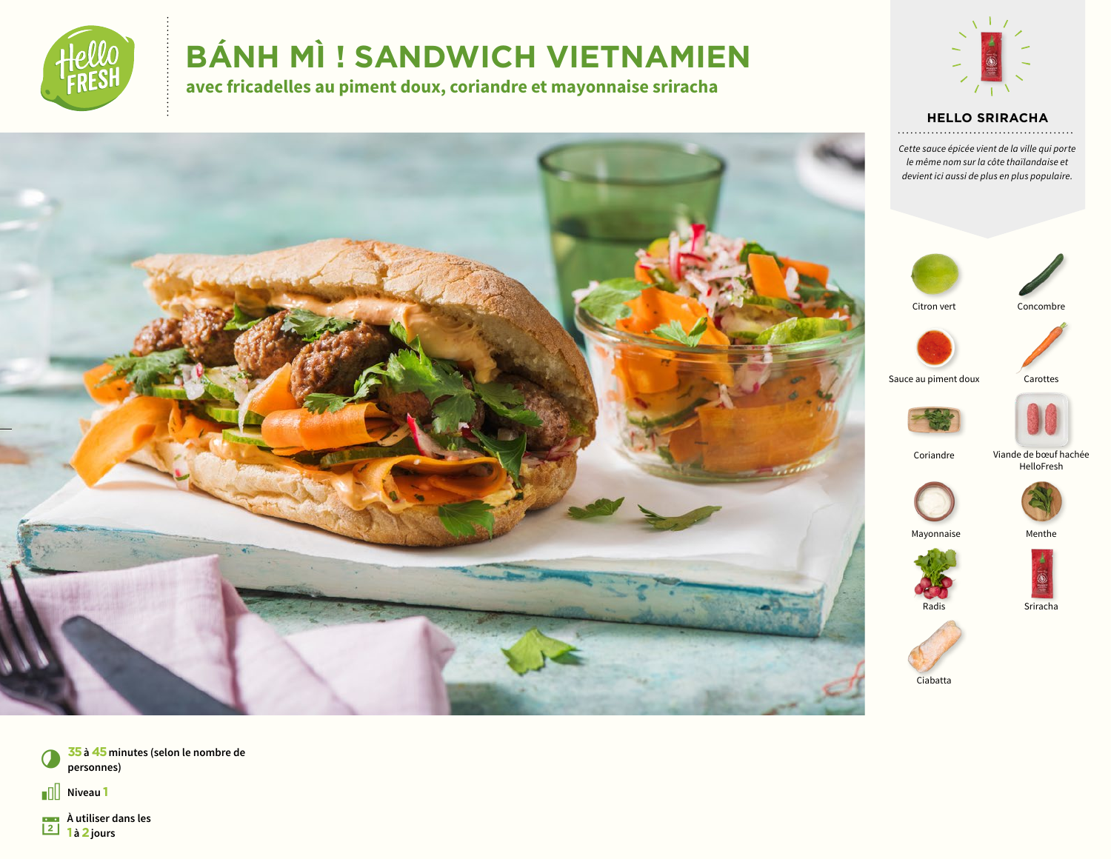

# **BÁNH MÌ ! SANDWICH VIETNAMIEN**

**avec fricadelles au piment doux, coriandre et mayonnaise sriracha**



## **HELLO SRIRACHA**

*Cette sauce épicée vient de la ville qui porte le même nom sur la côte thaïlandaise et devient ici aussi de plus en plus populaire.*





Citron vert





Sauce au piment doux Carottes





Coriandre





Mayonnaise Menthe







Ciabatta





 $\sqrt{1}$  Niveau 1

**À utiliser dans les 1 a 1 i 1 i 2** jours